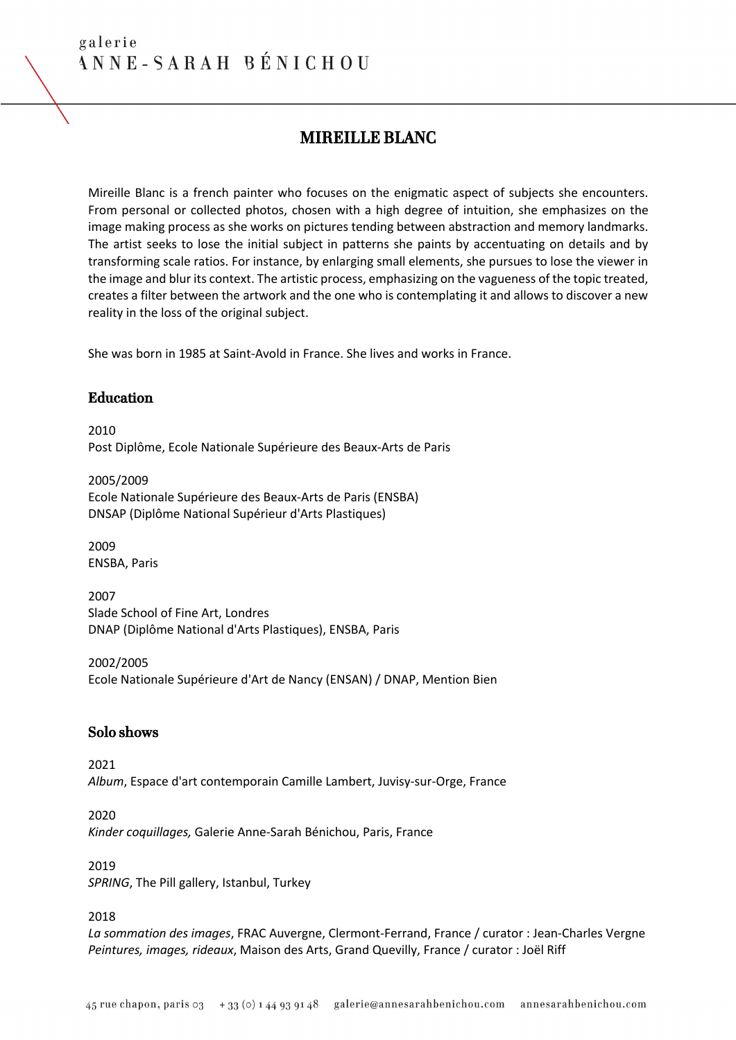# MIREILLE BLANC

Mireille Blanc is a french painter who focuses on the enigmatic aspect of subjects she encounters. From personal or collected photos, chosen with a high degree of intuition, she emphasizes on the image making process as she works on pictures tending between abstraction and memory landmarks. The artist seeks to lose the initial subject in patterns she paints by accentuating on details and by transforming scale ratios. For instance, by enlarging small elements, she pursues to lose the viewer in the image and blur its context. The artistic process, emphasizing on the vagueness of the topic treated, creates a filter between the artwork and the one who is contemplating it and allows to discover a new reality in the loss of the original subject.

She was born in 1985 at Saint-Avold in France. She lives and works in France.

#### Education

2010 Post Diplôme, Ecole Nationale Supérieure des Beaux-Arts de Paris

2005/2009 Ecole Nationale Supérieure des Beaux-Arts de Paris (ENSBA) DNSAP (Diplôme National Supérieur d'Arts Plastiques)

2009 ENSBA, Paris

2007 Slade School of Fine Art, Londres DNAP (Diplôme National d'Arts Plastiques), ENSBA, Paris

2002/2005 Ecole Nationale Supérieure d'Art de Nancy (ENSAN) / DNAP, Mention Bien

# Solo shows

2021 *Album*, Espace d'art contemporain Camille Lambert, Juvisy-sur-Orge, France

2020 *Kinder coquillages,* Galerie Anne-Sarah Bénichou, Paris, France

2019 *SPRING*, The Pill gallery, Istanbul, Turkey

2018

*La sommation des images*, FRAC Auvergne, Clermont-Ferrand, France / curator : Jean-Charles Vergne *Peintures, images, rideaux*, Maison des Arts, Grand Quevilly, France / curator : Joël Riff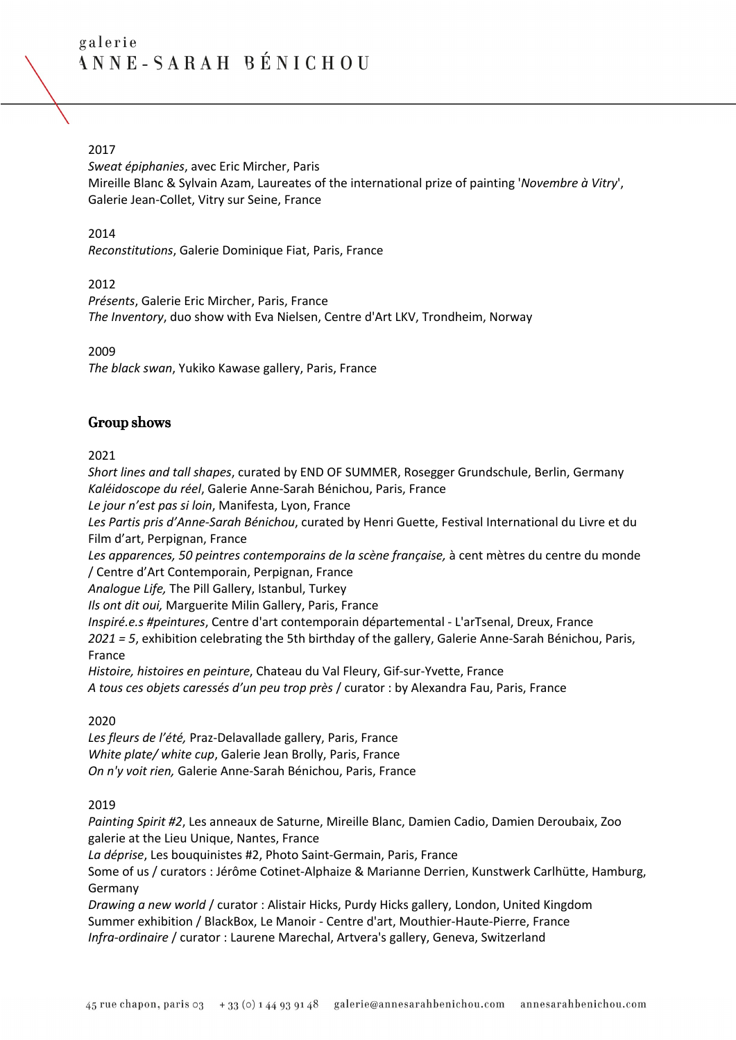# 2017

*Sweat épiphanies*, avec Eric Mircher, Paris Mireille Blanc & Sylvain Azam, Laureates of the international prize of painting '*Novembre à Vitry*', Galerie Jean-Collet, Vitry sur Seine, France

#### 2014

*Reconstitutions*, Galerie Dominique Fiat, Paris, France

2012

*Présents*, Galerie Eric Mircher, Paris, France *The Inventory*, duo show with Eva Nielsen, Centre d'Art LKV, Trondheim, Norway

2009

*The black swan*, Yukiko Kawase gallery, Paris, France

# Group shows

2021

*Short lines and tall shapes*, curated by END OF SUMMER, Rosegger Grundschule, Berlin, Germany *Kaléidoscope du réel*, Galerie Anne-Sarah Bénichou, Paris, France

*Le jour n'est pas si loin*, Manifesta, Lyon, France

*Les Partis pris d'Anne-Sarah Bénichou*, curated by Henri Guette, Festival International du Livre et du Film d'art, Perpignan, France

*Les apparences, 50 peintres contemporains de la scène française,* à cent mètres du centre du monde / Centre d'Art Contemporain, Perpignan, France

*Analogue Life,* The Pill Gallery, Istanbul, Turkey

*Ils ont dit oui,* Marguerite Milin Gallery, Paris, France

*Inspiré.e.s #peintures*, Centre d'art contemporain départemental - L'arTsenal, Dreux, France *2021 = 5*, exhibition celebrating the 5th birthday of the gallery, Galerie Anne-Sarah Bénichou, Paris, France

*Histoire, histoires en peinture*, Chateau du Val Fleury, Gif-sur-Yvette, France *A tous ces objets caressés d'un peu trop près* / curator : by Alexandra Fau, Paris, France

#### 2020

*Les fleurs de l'été,* Praz-Delavallade gallery, Paris, France *White plate/ white cup*, Galerie Jean Brolly, Paris, France *On n'y voit rien,* Galerie Anne-Sarah Bénichou, Paris, France

#### 2019

*Painting Spirit #2*, Les anneaux de Saturne, Mireille Blanc, Damien Cadio, Damien Deroubaix, Zoo galerie at the Lieu Unique, Nantes, France

*La déprise*, Les bouquinistes #2, Photo Saint-Germain, Paris, France

Some of us / curators : Jérôme Cotinet-Alphaize & Marianne Derrien, Kunstwerk Carlhütte, Hamburg, Germany

*Drawing a new world* / curator : Alistair Hicks, Purdy Hicks gallery, London, United Kingdom Summer exhibition / BlackBox, Le Manoir - Centre d'art, Mouthier-Haute-Pierre, France *Infra-ordinaire* / curator : Laurene Marechal, Artvera's gallery, Geneva, Switzerland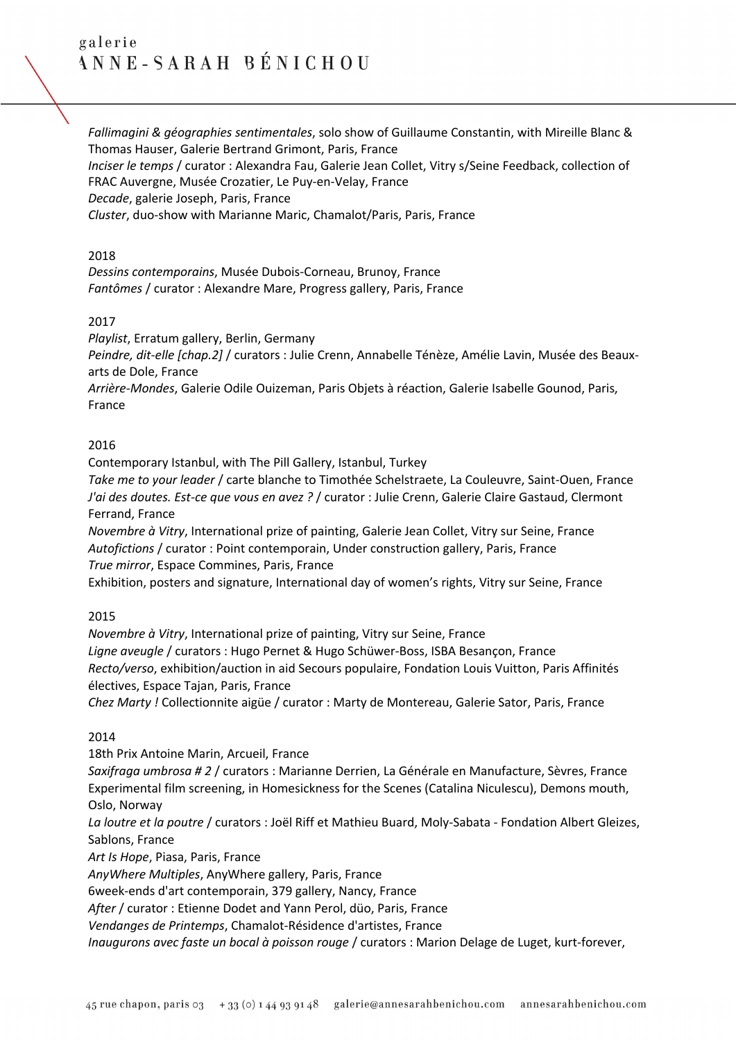*Fallimagini & géographies sentimentales*, solo show of Guillaume Constantin, with Mireille Blanc & Thomas Hauser, Galerie Bertrand Grimont, Paris, France

*Inciser le temps* / curator : Alexandra Fau, Galerie Jean Collet, Vitry s/Seine Feedback, collection of FRAC Auvergne, Musée Crozatier, Le Puy-en-Velay, France

*Decade*, galerie Joseph, Paris, France

*Cluster*, duo-show with Marianne Maric, Chamalot/Paris, Paris, France

#### 2018

*Dessins contemporains*, Musée Dubois-Corneau, Brunoy, France *Fantômes* / curator : Alexandre Mare, Progress gallery, Paris, France

# 2017

*Playlist*, Erratum gallery, Berlin, Germany

*Peindre, dit-elle [chap.2]* / curators : Julie Crenn, Annabelle Ténèze, Amélie Lavin, Musée des Beauxarts de Dole, France

*Arrière-Mondes*, Galerie Odile Ouizeman, Paris Objets à réaction, Galerie Isabelle Gounod, Paris, France

#### 2016

Contemporary Istanbul, with The Pill Gallery, Istanbul, Turkey

*Take me to your leader* / carte blanche to Timothée Schelstraete, La Couleuvre, Saint-Ouen, France *J'ai des doutes. Est-ce que vous en avez ?* / curator : Julie Crenn, Galerie Claire Gastaud, Clermont Ferrand, France

*Novembre à Vitry*, International prize of painting, Galerie Jean Collet, Vitry sur Seine, France *Autofictions* / curator : Point contemporain, Under construction gallery, Paris, France *True mirror*, Espace Commines, Paris, France

Exhibition, posters and signature, International day of women's rights, Vitry sur Seine, France

#### 2015

*Novembre à Vitry*, International prize of painting, Vitry sur Seine, France *Ligne aveugle* / curators : Hugo Pernet & Hugo Schüwer-Boss, ISBA Besançon, France *Recto/verso*, exhibition/auction in aid Secours populaire, Fondation Louis Vuitton, Paris Affinités électives, Espace Tajan, Paris, France

*Chez Marty !* Collectionnite aigüe / curator : Marty de Montereau, Galerie Sator, Paris, France

# 2014

18th Prix Antoine Marin, Arcueil, France *Saxifraga umbrosa # 2* / curators : Marianne Derrien, La Générale en Manufacture, Sèvres, France Experimental film screening, in Homesickness for the Scenes (Catalina Niculescu), Demons mouth, Oslo, Norway *La loutre et la poutre* / curators : Joël Riff et Mathieu Buard, Moly-Sabata - Fondation Albert Gleizes, Sablons, France

*Art Is Hope*, Piasa, Paris, France

*AnyWhere Multiples*, AnyWhere gallery, Paris, France

6week-ends d'art contemporain, 379 gallery, Nancy, France

*After* / curator : Etienne Dodet and Yann Perol, düo, Paris, France

*Vendanges de Printemps*, Chamalot-Résidence d'artistes, France

*Inaugurons avec faste un bocal à poisson rouge* / curators : Marion Delage de Luget, kurt-forever,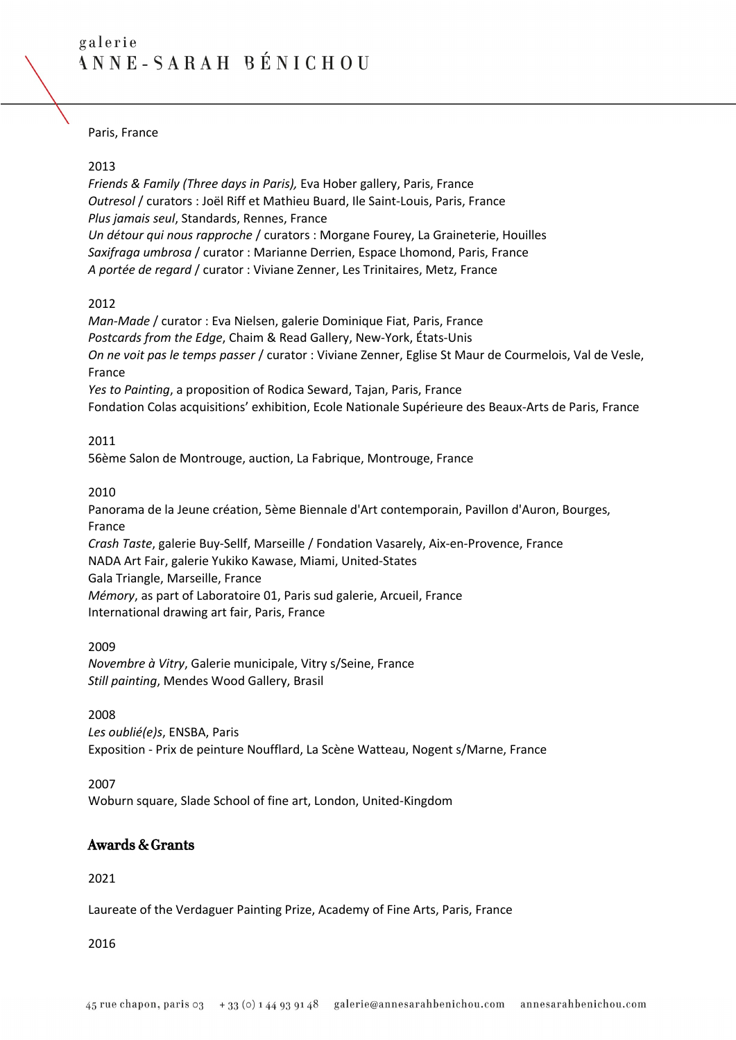Paris, France

#### 2013

*Friends & Family (Three days in Paris),* Eva Hober gallery, Paris, France *Outresol* / curators : Joël Riff et Mathieu Buard, Ile Saint-Louis, Paris, France *Plus jamais seul*, Standards, Rennes, France *Un détour qui nous rapproche* / curators : Morgane Fourey, La Graineterie, Houilles *Saxifraga umbrosa* / curator : Marianne Derrien, Espace Lhomond, Paris, France *A portée de regard* / curator : Viviane Zenner, Les Trinitaires, Metz, France

#### 2012

*Man-Made* / curator : Eva Nielsen, galerie Dominique Fiat, Paris, France *Postcards from the Edge*, Chaim & Read Gallery, New-York, États-Unis *On ne voit pas le temps passer* / curator : Viviane Zenner, Eglise St Maur de Courmelois, Val de Vesle, France

*Yes to Painting*, a proposition of Rodica Seward, Tajan, Paris, France Fondation Colas acquisitions' exhibition, Ecole Nationale Supérieure des Beaux-Arts de Paris, France

#### 2011

56ème Salon de Montrouge, auction, La Fabrique, Montrouge, France

#### 2010

Panorama de la Jeune création, 5ème Biennale d'Art contemporain, Pavillon d'Auron, Bourges, France

*Crash Taste*, galerie Buy-Sellf, Marseille / Fondation Vasarely, Aix-en-Provence, France NADA Art Fair, galerie Yukiko Kawase, Miami, United-States Gala Triangle, Marseille, France *Mémory*, as part of Laboratoire 01, Paris sud galerie, Arcueil, France International drawing art fair, Paris, France

2009 *Novembre à Vitry*, Galerie municipale, Vitry s/Seine, France *Still painting*, Mendes Wood Gallery, Brasil

2008

*Les oublié(e)s*, ENSBA, Paris Exposition - Prix de peinture Noufflard, La Scène Watteau, Nogent s/Marne, France

2007 Woburn square, Slade School of fine art, London, United-Kingdom

# Awards & Grants

2021

Laureate of the Verdaguer Painting Prize, Academy of Fine Arts, Paris, France

#### 2016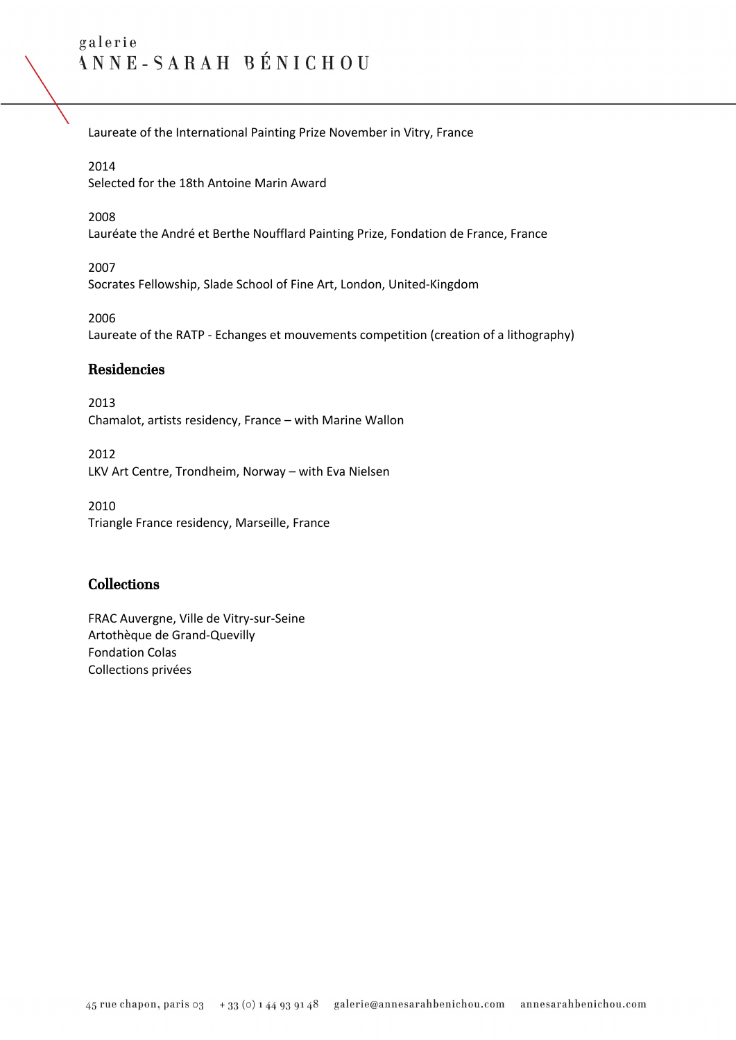Laureate of the International Painting Prize November in Vitry, France

#### 2014

Selected for the 18th Antoine Marin Award

# 2008

Lauréate the André et Berthe Noufflard Painting Prize, Fondation de France, France

2007 Socrates Fellowship, Slade School of Fine Art, London, United-Kingdom

2006 Laureate of the RATP - Echanges et mouvements competition (creation of a lithography)

# Residencies

2013 Chamalot, artists residency, France – with Marine Wallon

2012 LKV Art Centre, Trondheim, Norway – with Eva Nielsen

2010 Triangle France residency, Marseille, France

# Collections

FRAC Auvergne, Ville de Vitry-sur-Seine Artothèque de Grand-Quevilly Fondation Colas Collections privées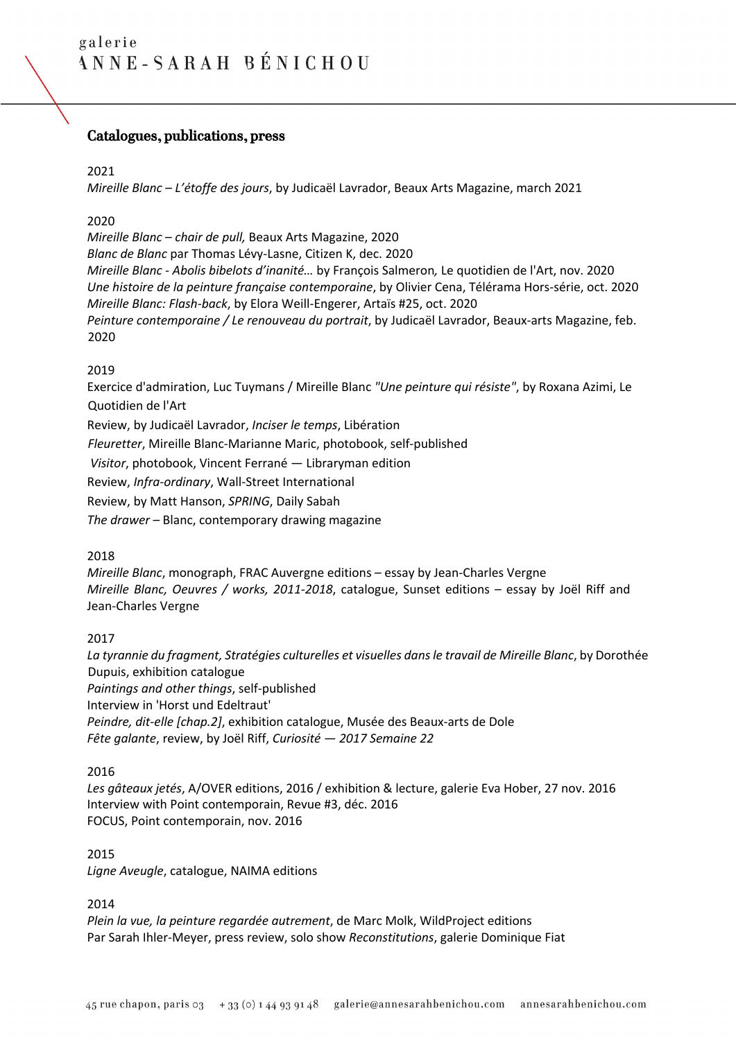# Catalogues, publications, press

#### 2021

*Mireille Blanc – L'étoffe des jours*, by Judicaël Lavrador, Beaux Arts Magazine, march 2021

#### 2020

*Mireille Blanc* – *chair de pull,* Beaux Arts Magazine, 2020 *Blanc de Blanc* par Thomas Lévy-Lasne, Citizen K, dec. 2020 *Mireille Blanc - Abolis bibelots d'inanité…* by François Salmeron*,* Le quotidien de l'Art, nov. 2020 *Une histoire de la peinture française contemporaine*, by Olivier Cena, Télérama Hors-série, oct. 2020 *Mireille Blanc: Flash-back*, by Elora Weill-Engerer, Artaïs #25, oct. 2020 *Peinture contemporaine / Le renouveau du portrait*, by Judicaël Lavrador, Beaux-arts Magazine, feb. 2020

# 2019

Exercice d'admiration, Luc Tuymans / Mireille Blanc *"Une peinture qui résiste"*, by Roxana Azimi, Le Quotidien de l'Art

Review, by Judicaël Lavrador, *Inciser le temps*, Libération

*Fleuretter*, Mireille Blanc-Marianne Maric, photobook, self-published

*Visitor*, photobook, Vincent Ferrané — Libraryman edition

Review, *Infra-ordinary*, Wall-Street International

Review, by Matt Hanson, *SPRING*, Daily Sabah

*The drawer* – Blanc, contemporary drawing magazine

#### 2018

*Mireille Blanc*, monograph, FRAC Auvergne editions – essay by Jean-Charles Vergne *Mireille Blanc, Oeuvres / works, 2011-2018*, catalogue, Sunset editions – essay by Joël Riff and Jean-Charles Vergne

# 2017

*La tyrannie du fragment, Stratégies culturelles et visuelles dans le travail de Mireille Blanc*, by Dorothée Dupuis, exhibition catalogue *Paintings and other things*, self-published Interview in 'Horst und Edeltraut' *Peindre, dit-elle [chap.2]*, exhibition catalogue, Musée des Beaux-arts de Dole *Fête galante*, review, by Joël Riff, *Curiosité — 2017 Semaine 22*

#### 2016

*Les gâteaux jetés*, A/OVER editions, 2016 / exhibition & lecture, galerie Eva Hober, 27 nov. 2016 Interview with Point contemporain, Revue #3, déc. 2016 FOCUS, Point contemporain, nov. 2016

#### 2015

*Ligne Aveugle*, catalogue, NAIMA editions

2014

*Plein la vue, la peinture regardée autrement*, de Marc Molk, WildProject editions Par Sarah Ihler-Meyer, press review, solo show *Reconstitutions*, galerie Dominique Fiat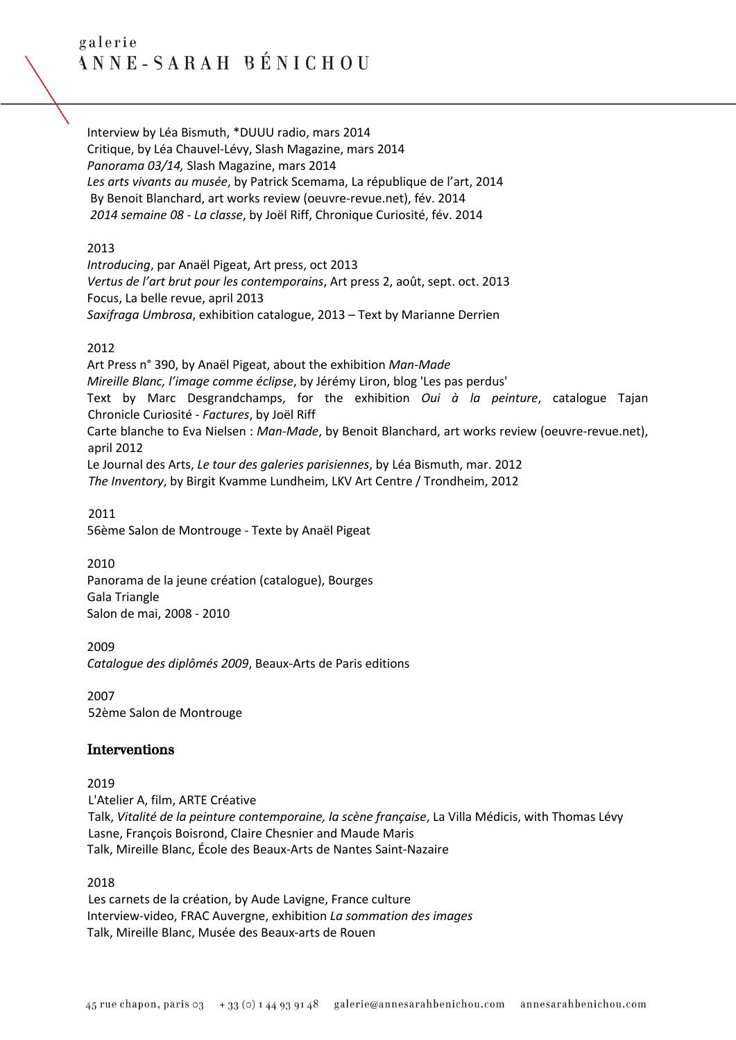Interview by Léa Bismuth, \*DUUU radio, mars 2014 Critique, by Léa Chauvel-Lévy, Slash Magazine, mars 2014 *Panorama 03/14,* Slash Magazine, mars 2014 *Les arts vivants au musée*, by Patrick Scemama, La république de l'art, 2014 By Benoit Blanchard, art works review (oeuvre-revue.net), fév. 2014 *2014 semaine 08 - La classe*, by Joël Riff, Chronique Curiosité, fév. 2014

#### 2013

*Introducing*, par Anaël Pigeat, Art press, oct 2013 *Vertus de l'art brut pour les contemporains*, Art press 2, août, sept. oct. 2013 Focus, La belle revue, april 2013 *Saxifraga Umbrosa*, exhibition catalogue, 2013 – Text by Marianne Derrien

# 2012

Art Press n° 390, by Anaël Pigeat, about the exhibition *Man-Made Mireille Blanc, l'image comme éclipse*, by Jérémy Liron, blog 'Les pas perdus' Text by Marc Desgrandchamps, for the exhibition *Oui à la peinture*, catalogue Tajan Chronicle Curiosité - *Factures*, by Joël Riff Carte blanche to Eva Nielsen : *Man-Made*, by Benoit Blanchard, art works review (oeuvre-revue.net), april 2012 Le Journal des Arts, *Le tour des galeries parisiennes*, by Léa Bismuth, mar. 2012 *The Inventory*, by Birgit Kvamme Lundheim, LKV Art Centre / Trondheim, 2012

2011 56ème Salon de Montrouge - Texte by Anaël Pigeat

2010 Panorama de la jeune création (catalogue), Bourges Gala Triangle Salon de mai, 2008 - 2010

2009 *Catalogue des diplômés 2009*, Beaux-Arts de Paris editions

2007 52ème Salon de Montrouge

# Interventions

2019

L'Atelier A, film, ARTE Créative Talk, *Vitalité de la peinture contemporaine, la scène française*, La Villa Médicis, with Thomas Lévy Lasne, François Boisrond, Claire Chesnier and Maude Maris Talk, Mireille Blanc, École des Beaux-Arts de Nantes Saint-Nazaire

#### 2018

Les carnets de la création, by Aude Lavigne, France culture Interview-video, FRAC Auvergne, exhibition *La sommation des images* Talk, Mireille Blanc, Musée des Beaux-arts de Rouen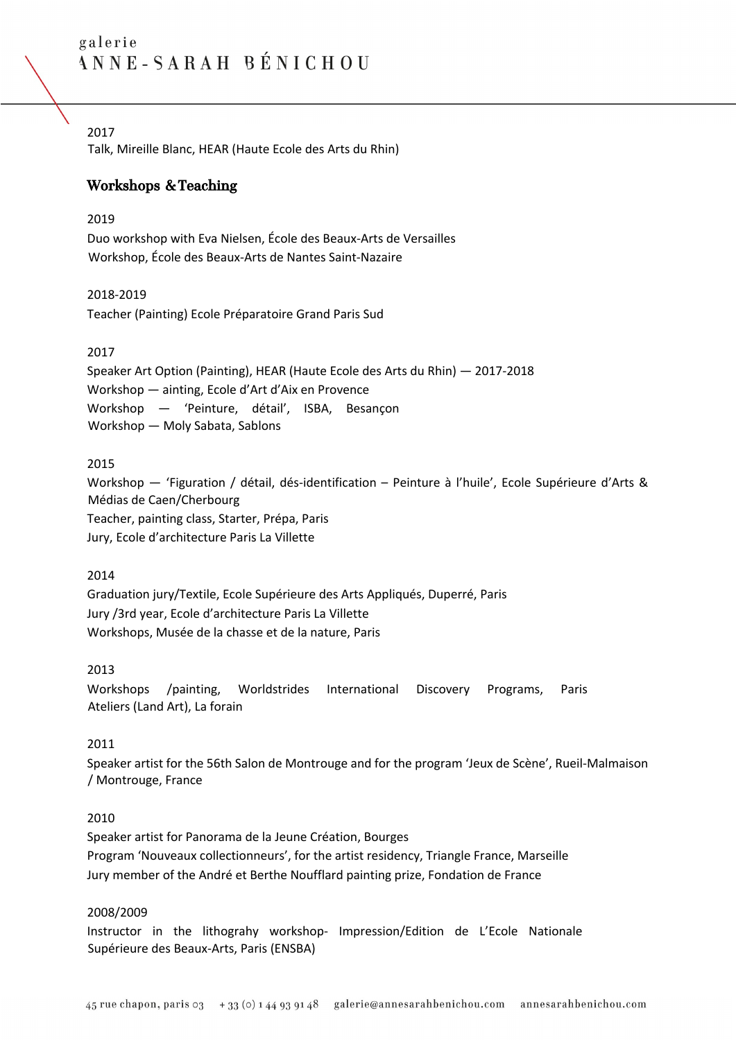# 2017

Talk, Mireille Blanc, HEAR (Haute Ecole des Arts du Rhin)

# Workshops & Teaching

# 2019

Duo workshop with Eva Nielsen, École des Beaux-Arts de Versailles Workshop, École des Beaux-Arts de Nantes Saint-Nazaire

# 2018-2019

Teacher (Painting) Ecole Préparatoire Grand Paris Sud

# 2017

Speaker Art Option (Painting), HEAR (Haute Ecole des Arts du Rhin) — 2017-2018 Workshop — ainting, Ecole d'Art d'Aix en Provence Workshop — 'Peinture, détail', ISBA, Besançon Workshop — Moly Sabata, Sablons

# 2015

Workshop — 'Figuration / détail, dés-identification – Peinture à l'huile', Ecole Supérieure d'Arts & Médias de Caen/Cherbourg Teacher, painting class, Starter, Prépa, Paris Jury, Ecole d'architecture Paris La Villette

# 2014

Graduation jury/Textile, Ecole Supérieure des Arts Appliqués, Duperré, Paris Jury /3rd year, Ecole d'architecture Paris La Villette Workshops, Musée de la chasse et de la nature, Paris

# 2013

Workshops /painting, Worldstrides International Discovery Programs, Paris Ateliers (Land Art), La forain

# 2011

Speaker artist for the 56th Salon de Montrouge and for the program 'Jeux de Scène', Rueil-Malmaison / Montrouge, France

#### 2010

Speaker artist for Panorama de la Jeune Création, Bourges Program 'Nouveaux collectionneurs', for the artist residency, Triangle France, Marseille Jury member of the André et Berthe Noufflard painting prize, Fondation de France

# 2008/2009

Instructor in the lithograhy workshop- Impression/Edition de L'Ecole Nationale Supérieure des Beaux-Arts, Paris (ENSBA)